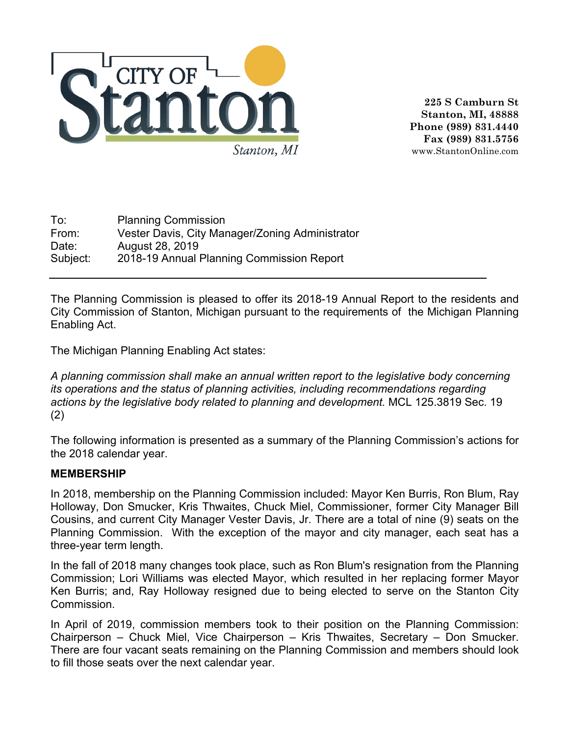

**225 S Camburn St Stanton, MI, 48888 Phone (989) 831.4440 Fax (989) 831.5756** www.StantonOnline.com

To: Planning Commission From: Vester Davis, City Manager/Zoning Administrator Date: August 28, 2019 Subject: 2018-19 Annual Planning Commission Report

The Planning Commission is pleased to offer its 2018-19 Annual Report to the residents and City Commission of Stanton, Michigan pursuant to the requirements of the Michigan Planning Enabling Act.

The Michigan Planning Enabling Act states:

*A planning commission shall make an annual written report to the legislative body concerning its operations and the status of planning activities, including recommendations regarding actions by the legislative body related to planning and development.* MCL 125.3819 Sec. 19 (2)

The following information is presented as a summary of the Planning Commission's actions for the 2018 calendar year.

## **MEMBERSHIP**

In 2018, membership on the Planning Commission included: Mayor Ken Burris, Ron Blum, Ray Holloway, Don Smucker, Kris Thwaites, Chuck Miel, Commissioner, former City Manager Bill Cousins, and current City Manager Vester Davis, Jr. There are a total of nine (9) seats on the Planning Commission. With the exception of the mayor and city manager, each seat has a three-year term length.

In the fall of 2018 many changes took place, such as Ron Blum's resignation from the Planning Commission; Lori Williams was elected Mayor, which resulted in her replacing former Mayor Ken Burris; and, Ray Holloway resigned due to being elected to serve on the Stanton City **Commission** 

In April of 2019, commission members took to their position on the Planning Commission: Chairperson – Chuck Miel, Vice Chairperson – Kris Thwaites, Secretary – Don Smucker. There are four vacant seats remaining on the Planning Commission and members should look to fill those seats over the next calendar year.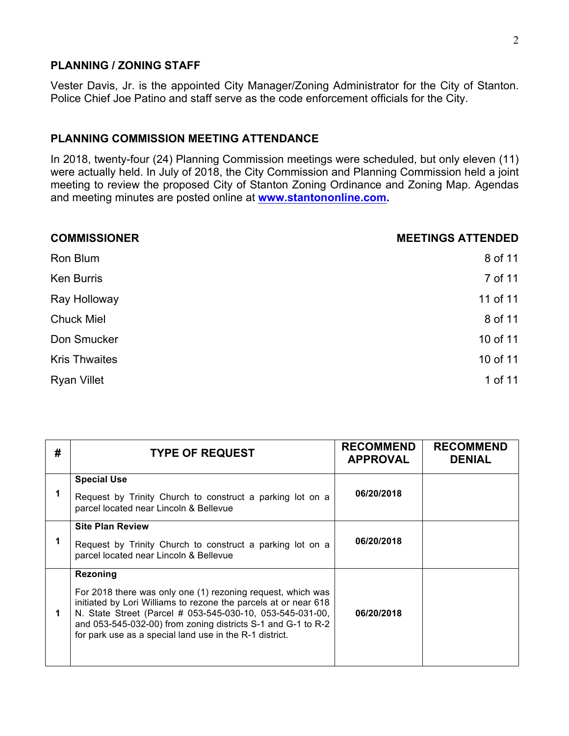#### **PLANNING / ZONING STAFF**

Vester Davis, Jr. is the appointed City Manager/Zoning Administrator for the City of Stanton. Police Chief Joe Patino and staff serve as the code enforcement officials for the City.

### **PLANNING COMMISSION MEETING ATTENDANCE**

In 2018, twenty-four (24) Planning Commission meetings were scheduled, but only eleven (11) were actually held. In July of 2018, the City Commission and Planning Commission held a joint meeting to review the proposed City of Stanton Zoning Ordinance and Zoning Map. Agendas and meeting minutes are posted online at **www.stantononline.com.** 

| <b>COMMISSIONER</b>  | <b>MEETINGS ATTENDED</b> |
|----------------------|--------------------------|
| Ron Blum             | 8 of 11                  |
| <b>Ken Burris</b>    | 7 of 11                  |
| Ray Holloway         | 11 of 11                 |
| <b>Chuck Miel</b>    | 8 of 11                  |
| Don Smucker          | 10 of 11                 |
| <b>Kris Thwaites</b> | 10 of 11                 |
| <b>Ryan Villet</b>   | 1 of 11                  |

| # | <b>TYPE OF REQUEST</b>                                                                                                                                                                                                                                                                                                             | <b>RECOMMEND</b><br><b>APPROVAL</b> | <b>RECOMMEND</b><br><b>DENIAL</b> |
|---|------------------------------------------------------------------------------------------------------------------------------------------------------------------------------------------------------------------------------------------------------------------------------------------------------------------------------------|-------------------------------------|-----------------------------------|
|   | <b>Special Use</b><br>Request by Trinity Church to construct a parking lot on a<br>parcel located near Lincoln & Bellevue                                                                                                                                                                                                          | 06/20/2018                          |                                   |
|   | <b>Site Plan Review</b><br>Request by Trinity Church to construct a parking lot on a<br>parcel located near Lincoln & Bellevue                                                                                                                                                                                                     | 06/20/2018                          |                                   |
|   | Rezoning<br>For 2018 there was only one (1) rezoning request, which was<br>initiated by Lori Williams to rezone the parcels at or near 618<br>N. State Street (Parcel # 053-545-030-10, 053-545-031-00,<br>and 053-545-032-00) from zoning districts S-1 and G-1 to R-2<br>for park use as a special land use in the R-1 district. | 06/20/2018                          |                                   |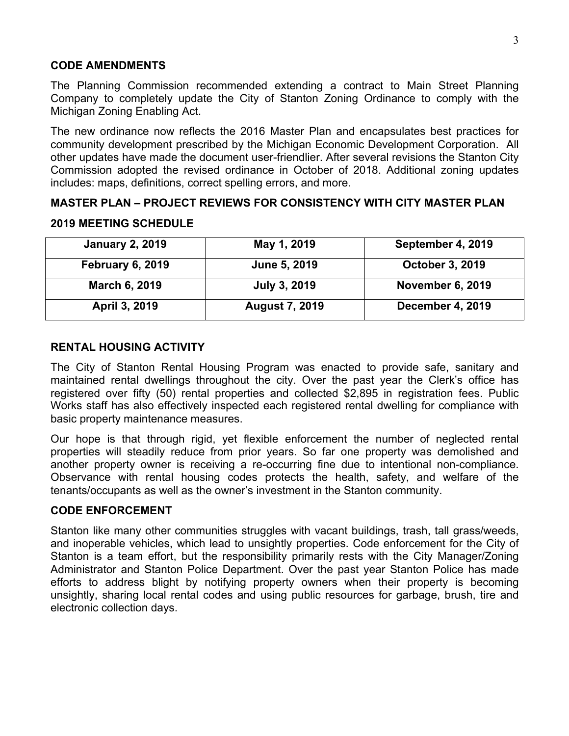## **CODE AMENDMENTS**

The Planning Commission recommended extending a contract to Main Street Planning Company to completely update the City of Stanton Zoning Ordinance to comply with the Michigan Zoning Enabling Act.

The new ordinance now reflects the 2016 Master Plan and encapsulates best practices for community development prescribed by the Michigan Economic Development Corporation. All other updates have made the document user-friendlier. After several revisions the Stanton City Commission adopted the revised ordinance in October of 2018. Additional zoning updates includes: maps, definitions, correct spelling errors, and more.

## **MASTER PLAN – PROJECT REVIEWS FOR CONSISTENCY WITH CITY MASTER PLAN**

#### **2019 MEETING SCHEDULE**

| <b>January 2, 2019</b>  | May 1, 2019           | September 4, 2019       |
|-------------------------|-----------------------|-------------------------|
| <b>February 6, 2019</b> | June 5, 2019          | October 3, 2019         |
| March 6, 2019           | <b>July 3, 2019</b>   | <b>November 6, 2019</b> |
| April 3, 2019           | <b>August 7, 2019</b> | December 4, 2019        |

## **RENTAL HOUSING ACTIVITY**

The City of Stanton Rental Housing Program was enacted to provide safe, sanitary and maintained rental dwellings throughout the city. Over the past year the Clerk's office has registered over fifty (50) rental properties and collected \$2,895 in registration fees. Public Works staff has also effectively inspected each registered rental dwelling for compliance with basic property maintenance measures.

Our hope is that through rigid, yet flexible enforcement the number of neglected rental properties will steadily reduce from prior years. So far one property was demolished and another property owner is receiving a re-occurring fine due to intentional non-compliance. Observance with rental housing codes protects the health, safety, and welfare of the tenants/occupants as well as the owner's investment in the Stanton community.

## **CODE ENFORCEMENT**

Stanton like many other communities struggles with vacant buildings, trash, tall grass/weeds, and inoperable vehicles, which lead to unsightly properties. Code enforcement for the City of Stanton is a team effort, but the responsibility primarily rests with the City Manager/Zoning Administrator and Stanton Police Department. Over the past year Stanton Police has made efforts to address blight by notifying property owners when their property is becoming unsightly, sharing local rental codes and using public resources for garbage, brush, tire and electronic collection days.